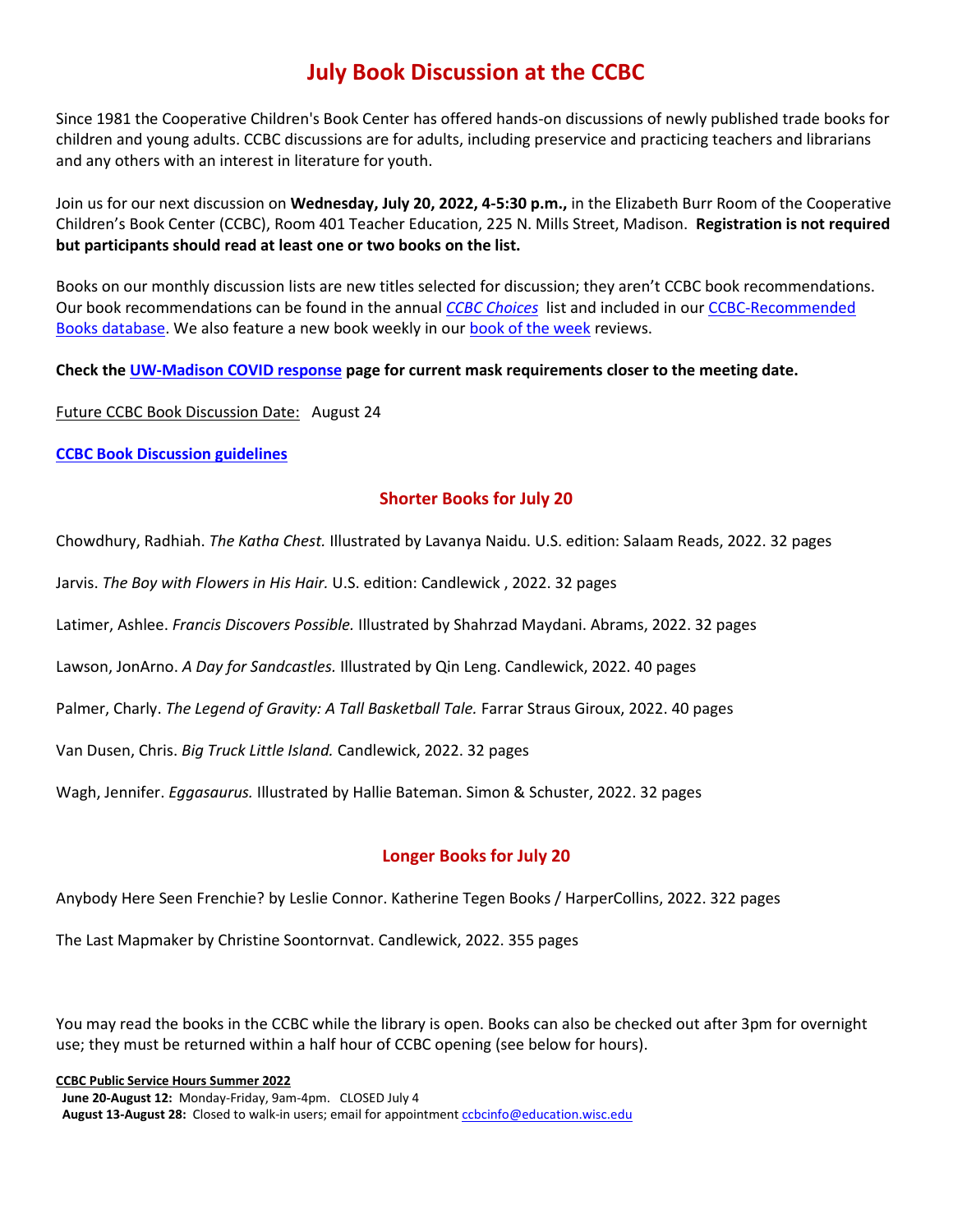# **July Book Discussion at the CCBC**

Since 1981 the Cooperative Children's Book Center has offered hands-on discussions of newly published trade books for children and young adults. CCBC discussions are for adults, including preservice and practicing teachers and librarians and any others with an interest in literature for youth.

Join us for our next discussion on **Wednesday, July 20, 2022, 4-5:30 p.m.,** in the Elizabeth Burr Room of the Cooperative Children's Book Center (CCBC), Room 401 Teacher Education, 225 N. Mills Street, Madison. **Registration is not required but participants should read at least one or two books on the list.** 

Books on our monthly discussion lists are new titles selected for discussion; they aren't CCBC book recommendations. Our book recommendations can be found in the annual *[CCBC Choices](https://ccbc.education.wisc.edu/literature-resources/ccbc-choices/)* list and included in our [CCBC-Recommended](https://ccbc.education.wisc.edu/recommended-books/)  [Books database.](https://ccbc.education.wisc.edu/recommended-books/) We also feature a new book weekly in ou[r book of the week](https://ccbc.education.wisc.edu/literature-resources/book-of-the-week/) reviews.

**Check the [UW-Madison COVID response](https://covidresponse.wisc.edu/) page for current mask requirements closer to the meeting date.**

Future CCBC Book Discussion Date: August 24

**[CCBC Book Discussion guidelines](https://ccbc.education.wisc.edu/literature-resources/ccbc-book-discussions/ccbc-book-discussion-guidelines/)**

### **Shorter Books for July 20**

Chowdhury, Radhiah. *The Katha Chest.* Illustrated by Lavanya Naidu. U.S. edition: Salaam Reads, 2022. 32 pages

Jarvis. *The Boy with Flowers in His Hair.* U.S. edition: Candlewick , 2022. 32 pages

Latimer, Ashlee. *Francis Discovers Possible.* Illustrated by Shahrzad Maydani. Abrams, 2022. 32 pages

Lawson, JonArno. *A Day for Sandcastles.* Illustrated by Qin Leng. Candlewick, 2022. 40 pages

Palmer, Charly. *The Legend of Gravity: A Tall Basketball Tale.* Farrar Straus Giroux, 2022. 40 pages

Van Dusen, Chris. *Big Truck Little Island.* Candlewick, 2022. 32 pages

Wagh, Jennifer. *Eggasaurus.* Illustrated by Hallie Bateman. Simon & Schuster, 2022. 32 pages

### **Longer Books for July 20**

Anybody Here Seen Frenchie? by Leslie Connor. Katherine Tegen Books / HarperCollins, 2022. 322 pages

The Last Mapmaker by Christine Soontornvat. Candlewick, 2022. 355 pages

You may read the books in the CCBC while the library is open. Books can also be checked out after 3pm for overnight use; they must be returned within a half hour of CCBC opening (see below for hours).

**CCBC Public Service Hours Summer 2022**